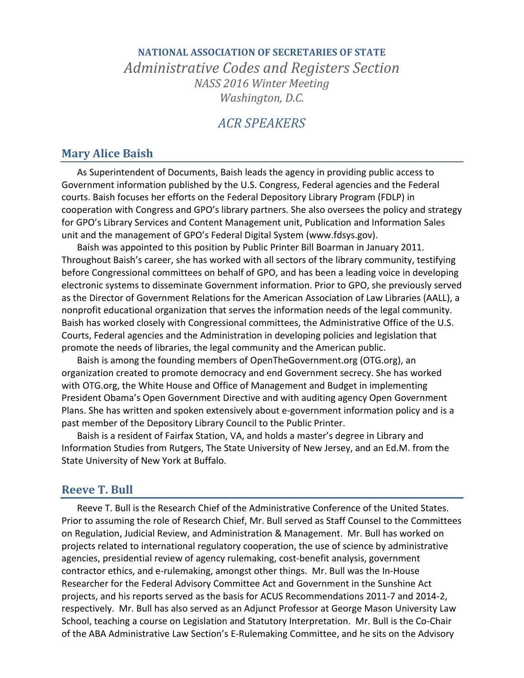# **NATIONAL ASSOCIATION OF SECRETARIES OF STATE** *Administrative Codes and Registers Section NASS 2016 Winter Meeting Washington, D.C.*

## *ACR SPEAKERS*

#### **Mary Alice Baish**

As Superintendent of Documents, Baish leads the agency in providing public access to Government information published by the U.S. Congress, Federal agencies and the Federal courts. Baish focuses her efforts on the Federal Depository Library Program (FDLP) in cooperation with Congress and GPO's library partners. She also oversees the policy and strategy for GPO's Library Services and Content Management unit, Publication and Information Sales unit and the management of GPO's Federal Digital System [\(www.fdsys.gov\)](http://www.fdsys.gov/).

Baish was appointed to this position by Public Printer Bill Boarman in January 2011. Throughout Baish's career, she has worked with all sectors of the library community, testifying before Congressional committees on behalf of GPO, and has been a leading voice in developing electronic systems to disseminate Government information. Prior to GPO, she previously served as the Director of Government Relations for the American Association of Law Libraries (AALL), a nonprofit educational organization that serves the information needs of the legal community. Baish has worked closely with Congressional committees, the Administrative Office of the U.S. Courts, Federal agencies and the Administration in developing policies and legislation that promote the needs of libraries, the legal community and the American public.

Baish is among the founding members of OpenTheGovernment.org (OTG.org), an organization created to promote democracy and end Government secrecy. She has worked with OTG.org, the White House and Office of Management and Budget in implementing President Obama's Open Government Directive and with auditing agency Open Government Plans. She has written and spoken extensively about e-government information policy and is a past member of the Depository Library Council to the Public Printer.

Baish is a resident of Fairfax Station, VA, and holds a master's degree in Library and Information Studies from Rutgers, The State University of New Jersey, and an Ed.M. from the State University of New York at Buffalo.

#### **Reeve T. Bull**

Reeve T. Bull is the Research Chief of the Administrative Conference of the United States. Prior to assuming the role of Research Chief, Mr. Bull served as Staff Counsel to the Committees on Regulation, Judicial Review, and Administration & Management. Mr. Bull has worked on projects related to international regulatory cooperation, the use of science by administrative agencies, presidential review of agency rulemaking, cost-benefit analysis, government contractor ethics, and e-rulemaking, amongst other things. Mr. Bull was the In-House Researcher for the Federal Advisory Committee Act and Government in the Sunshine Act projects, and his reports served as the basis for ACUS Recommendations 2011-7 and 2014-2, respectively. Mr. Bull has also served as an Adjunct Professor at George Mason University Law School, teaching a course on Legislation and Statutory Interpretation. Mr. Bull is the Co-Chair of the ABA Administrative Law Section's E-Rulemaking Committee, and he sits on the Advisory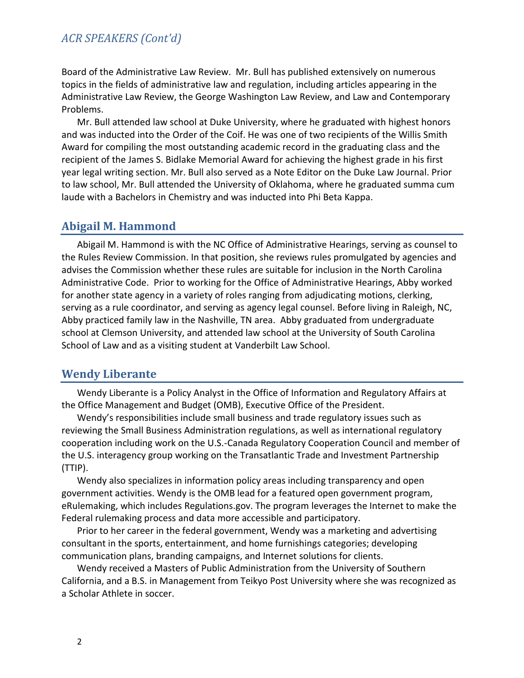### *ACR SPEAKERS (Cont'd)*

Board of the Administrative Law Review. Mr. Bull has published extensively on numerous topics in the fields of administrative law and regulation, including articles appearing in the Administrative Law Review, the George Washington Law Review, and Law and Contemporary Problems.

Mr. Bull attended law school at Duke University, where he graduated with highest honors and was inducted into the Order of the Coif. He was one of two recipients of the Willis Smith Award for compiling the most outstanding academic record in the graduating class and the recipient of the James S. Bidlake Memorial Award for achieving the highest grade in his first year legal writing section. Mr. Bull also served as a Note Editor on the Duke Law Journal. Prior to law school, Mr. Bull attended the University of Oklahoma, where he graduated summa cum laude with a Bachelors in Chemistry and was inducted into Phi Beta Kappa.

### **Abigail M. Hammond**

Abigail M. Hammond is with the NC Office of Administrative Hearings, serving as counsel to the Rules Review Commission. In that position, she reviews rules promulgated by agencies and advises the Commission whether these rules are suitable for inclusion in the North Carolina Administrative Code. Prior to working for the Office of Administrative Hearings, Abby worked for another state agency in a variety of roles ranging from adjudicating motions, clerking, serving as a rule coordinator, and serving as agency legal counsel. Before living in Raleigh, NC, Abby practiced family law in the Nashville, TN area. Abby graduated from undergraduate school at Clemson University, and attended law school at the University of South Carolina School of Law and as a visiting student at Vanderbilt Law School.

## **Wendy Liberante**

Wendy Liberante is a Policy Analyst in the Office of Information and Regulatory Affairs at the Office Management and Budget (OMB), Executive Office of the President.

Wendy's responsibilities include small business and trade regulatory issues such as reviewing the Small Business Administration regulations, as well as international regulatory cooperation including work on the U.S.-Canada Regulatory Cooperation Council and member of the U.S. interagency group working on the Transatlantic Trade and Investment Partnership (TTIP).

Wendy also specializes in information policy areas including transparency and open government activities. Wendy is the OMB lead for a featured open government program, eRulemaking, which includes Regulations.gov. The program leverages the Internet to make the Federal rulemaking process and data more accessible and participatory.

Prior to her career in the federal government, Wendy was a marketing and advertising consultant in the sports, entertainment, and home furnishings categories; developing communication plans, branding campaigns, and Internet solutions for clients.

Wendy received a Masters of Public Administration from the University of Southern California, and a B.S. in Management from Teikyo Post University where she was recognized as a Scholar Athlete in soccer.